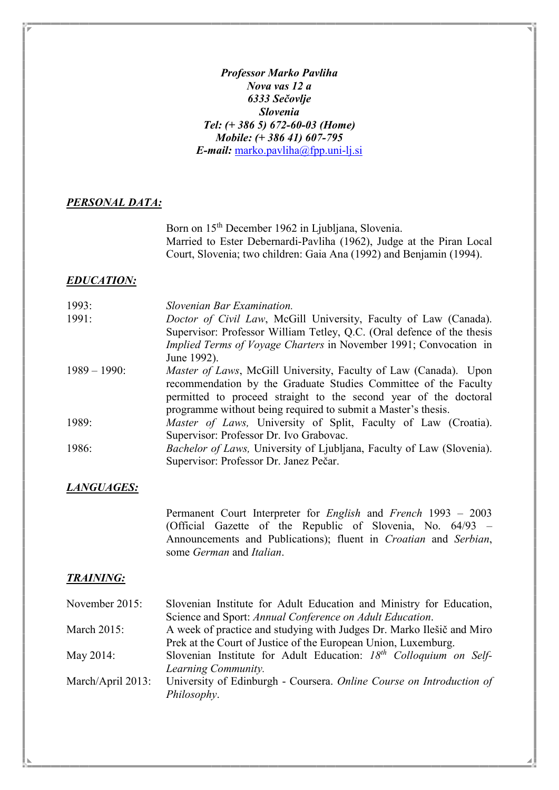Professor Marko Pavliha Nova vas 12 a 6333 Sečovlje Slovenia Tel: (+ 386 5) 672-60-03 (Home) Mobile: (+ 386 41) 607-795 E-mail: marko.pavliha@fpp.uni-lj.si

#### PERSONAL DATA:

Born on 15<sup>th</sup> December 1962 in Ljubljana, Slovenia. Married to Ester Debernardi-Pavliha (1962), Judge at the Piran Local Court, Slovenia; two children: Gaia Ana (1992) and Benjamin (1994).

#### EDUCATION:

| 1993:           | Slovenian Bar Examination.                                               |
|-----------------|--------------------------------------------------------------------------|
| 1991:           | Doctor of Civil Law, McGill University, Faculty of Law (Canada).         |
|                 | Supervisor: Professor William Tetley, Q.C. (Oral defence of the thesis   |
|                 | <i>Implied Terms of Voyage Charters in November 1991; Convocation in</i> |
|                 | June 1992).                                                              |
| $1989 - 1990$ : | Master of Laws, McGill University, Faculty of Law (Canada). Upon         |
|                 | recommendation by the Graduate Studies Committee of the Faculty          |
|                 | permitted to proceed straight to the second year of the doctoral         |
|                 | programme without being required to submit a Master's thesis.            |
| 1989:           | Master of Laws, University of Split, Faculty of Law (Croatia).           |
|                 | Supervisor: Professor Dr. Ivo Grabovac.                                  |
| 1986:           | Bachelor of Laws, University of Ljubljana, Faculty of Law (Slovenia).    |
|                 | Supervisor: Professor Dr. Janez Pečar.                                   |

#### LANGUAGES:

Permanent Court Interpreter for English and French 1993 – 2003 (Official Gazette of the Republic of Slovenia, No. 64/93 – Announcements and Publications); fluent in Croatian and Serbian, some German and Italian.

#### TRAINING:

| November 2015:     | Slovenian Institute for Adult Education and Ministry for Education,   |
|--------------------|-----------------------------------------------------------------------|
|                    | Science and Sport: Annual Conference on Adult Education.              |
| <b>March 2015:</b> | A week of practice and studying with Judges Dr. Marko Ilešič and Miro |
|                    | Prek at the Court of Justice of the European Union, Luxemburg.        |
| May 2014:          | Slovenian Institute for Adult Education: $18th$ Colloquium on Self-   |
|                    | Learning Community.                                                   |
| March/April 2013:  | University of Edinburgh - Coursera. Online Course on Introduction of  |
|                    | Philosophy.                                                           |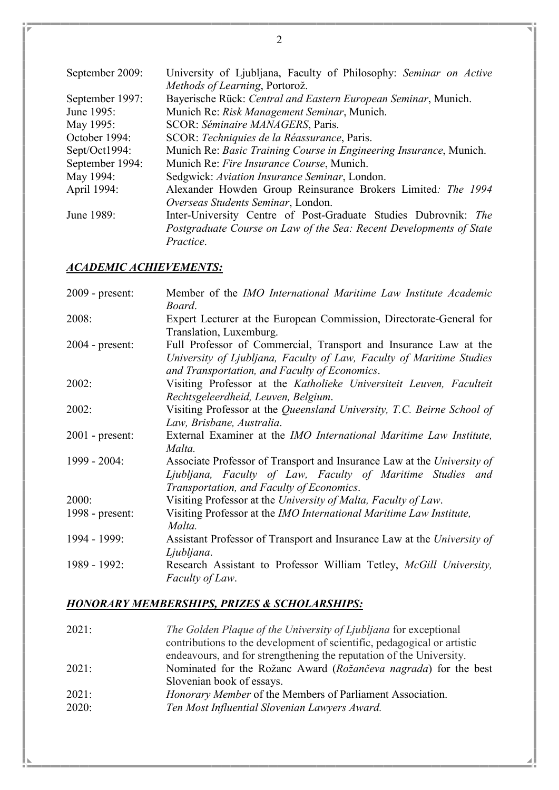| September 2009: | University of Ljubljana, Faculty of Philosophy: Seminar on Active<br>Methods of Learning, Portorož. |
|-----------------|-----------------------------------------------------------------------------------------------------|
| September 1997: | Bayerische Rück: Central and Eastern European Seminar, Munich.                                      |
| June 1995:      | Munich Re: Risk Management Seminar, Munich.                                                         |
| May 1995:       | SCOR: Séminaire MANAGERS, Paris.                                                                    |
| October 1994:   | SCOR: Techniquies de la Réassurance, Paris.                                                         |
| Sept/Oct1994:   | Munich Re: Basic Training Course in Engineering Insurance, Munich.                                  |
| September 1994: | Munich Re: Fire Insurance Course, Munich.                                                           |
| May 1994:       | Sedgwick: Aviation Insurance Seminar, London.                                                       |
| April 1994:     | Alexander Howden Group Reinsurance Brokers Limited: The 1994                                        |
|                 | Overseas Students Seminar, London.                                                                  |
| June 1989:      | Inter-University Centre of Post-Graduate Studies Dubrovnik: The                                     |
|                 | Postgraduate Course on Law of the Sea: Recent Developments of State                                 |
|                 | <i>Practice.</i>                                                                                    |

### ACADEMIC ACHIEVEMENTS:

| $2009$ - present: | Member of the IMO International Maritime Law Institute Academic<br>Board.                                                                                                                 |
|-------------------|-------------------------------------------------------------------------------------------------------------------------------------------------------------------------------------------|
| 2008:             | Expert Lecturer at the European Commission, Directorate-General for<br>Translation, Luxemburg.                                                                                            |
| $2004$ - present: | Full Professor of Commercial, Transport and Insurance Law at the<br>University of Ljubljana, Faculty of Law, Faculty of Maritime Studies<br>and Transportation, and Faculty of Economics. |
| 2002:             | Visiting Professor at the Katholieke Universiteit Leuven, Faculteit<br>Rechtsgeleerdheid, Leuven, Belgium.                                                                                |
| 2002:             | Visiting Professor at the Queensland University, T.C. Beirne School of<br>Law, Brisbane, Australia.                                                                                       |
| $2001$ - present: | External Examiner at the <i>IMO International Maritime Law Institute</i> ,<br>Malta.                                                                                                      |
| $1999 - 2004$ :   | Associate Professor of Transport and Insurance Law at the University of<br>Ljubljana, Faculty of Law, Faculty of Maritime Studies and<br>Transportation, and Faculty of Economics.        |
| 2000:             | Visiting Professor at the University of Malta, Faculty of Law.                                                                                                                            |
| $1998$ - present: | Visiting Professor at the IMO International Maritime Law Institute,<br>Malta.                                                                                                             |
| 1994 - 1999:      | Assistant Professor of Transport and Insurance Law at the University of<br>Ljubljana.                                                                                                     |
| 1989 - 1992:      | Research Assistant to Professor William Tetley, McGill University,<br><i>Faculty of Law.</i>                                                                                              |

# HONORARY MEMBERSHIPS, PRIZES & SCHOLARSHIPS:

| 2021: | The Golden Plaque of the University of Ljubljana for exceptional        |
|-------|-------------------------------------------------------------------------|
|       | contributions to the development of scientific, pedagogical or artistic |
|       | endeavours, and for strengthening the reputation of the University.     |
| 2021: | Nominated for the Rožanc Award (Rožančeva nagrada) for the best         |
|       | Slovenian book of essays.                                               |
| 2021: | <i>Honorary Member</i> of the Members of Parliament Association.        |
| 2020: | Ten Most Influential Slovenian Lawyers Award.                           |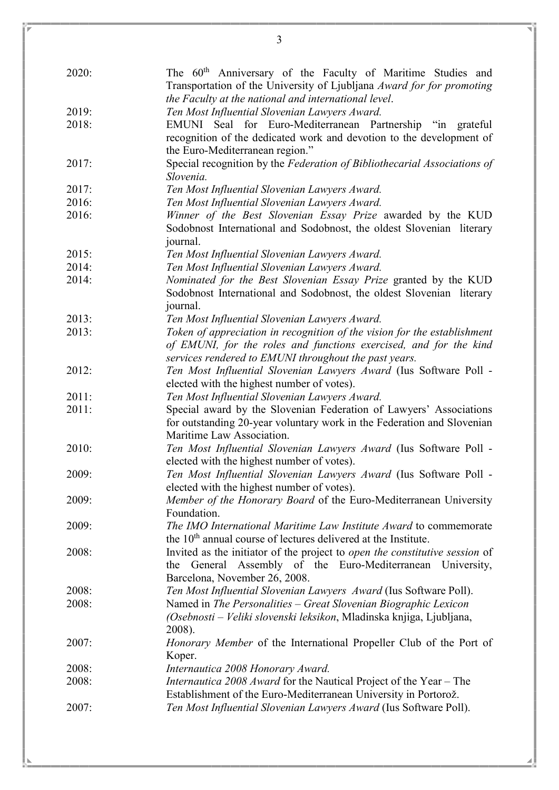| The 60 <sup>th</sup> Anniversary of the Faculty of Maritime Studies and<br>2020:<br>Transportation of the University of Ljubljana Award for for promoting<br>the Faculty at the national and international level.<br>2019:<br>Ten Most Influential Slovenian Lawyers Award.<br>EMUNI Seal for Euro-Mediterranean Partnership "in grateful<br>2018:<br>recognition of the dedicated work and devotion to the development of<br>the Euro-Mediterranean region."<br>2017:<br>Special recognition by the Federation of Bibliothecarial Associations of<br>Slovenia.<br>2017:<br>Ten Most Influential Slovenian Lawyers Award.<br>2016:<br>Ten Most Influential Slovenian Lawyers Award.<br>2016:<br>Winner of the Best Slovenian Essay Prize awarded by the KUD<br>Sodobnost International and Sodobnost, the oldest Slovenian literary<br>journal.<br>Ten Most Influential Slovenian Lawyers Award.<br>2015:<br>2014:<br>Ten Most Influential Slovenian Lawyers Award.<br>2014:<br>Nominated for the Best Slovenian Essay Prize granted by the KUD<br>Sodobnost International and Sodobnost, the oldest Slovenian literary<br>journal.<br>2013:<br>Ten Most Influential Slovenian Lawyers Award.<br>2013:<br>Token of appreciation in recognition of the vision for the establishment<br>of EMUNI, for the roles and functions exercised, and for the kind<br>services rendered to EMUNI throughout the past years.<br>2012:<br>Ten Most Influential Slovenian Lawyers Award (Ius Software Poll -<br>elected with the highest number of votes).<br>2011:<br>Ten Most Influential Slovenian Lawyers Award.<br>Special award by the Slovenian Federation of Lawyers' Associations<br>2011:<br>for outstanding 20-year voluntary work in the Federation and Slovenian<br>Maritime Law Association.<br>2010:<br>Ten Most Influential Slovenian Lawyers Award (Ius Software Poll -<br>elected with the highest number of votes).<br>2009:<br>Ten Most Influential Slovenian Lawyers Award (Ius Software Poll -<br>elected with the highest number of votes).<br>2009:<br>Member of the Honorary Board of the Euro-Mediterranean University<br>Foundation.<br>2009:<br>The IMO International Maritime Law Institute Award to commemorate<br>the 10 <sup>th</sup> annual course of lectures delivered at the Institute.<br>Invited as the initiator of the project to <i>open the constitutive session</i> of<br>2008:<br>the General Assembly of the Euro-Mediterranean University,<br>Barcelona, November 26, 2008.<br>Ten Most Influential Slovenian Lawyers Award (Ius Software Poll).<br>2008:<br>2008:<br>Named in The Personalities - Great Slovenian Biographic Lexicon<br>(Osebnosti – Veliki slovenski leksikon, Mladinska knjiga, Ljubljana,<br>2008).<br>Honorary Member of the International Propeller Club of the Port of<br>2007:<br>Koper.<br>2008:<br>Internautica 2008 Honorary Award.<br><i>Internautica 2008 Award</i> for the Nautical Project of the Year – The<br>2008:<br>Establishment of the Euro-Mediterranean University in Portorož.<br>2007:<br>Ten Most Influential Slovenian Lawyers Award (Ius Software Poll). |  |
|---------------------------------------------------------------------------------------------------------------------------------------------------------------------------------------------------------------------------------------------------------------------------------------------------------------------------------------------------------------------------------------------------------------------------------------------------------------------------------------------------------------------------------------------------------------------------------------------------------------------------------------------------------------------------------------------------------------------------------------------------------------------------------------------------------------------------------------------------------------------------------------------------------------------------------------------------------------------------------------------------------------------------------------------------------------------------------------------------------------------------------------------------------------------------------------------------------------------------------------------------------------------------------------------------------------------------------------------------------------------------------------------------------------------------------------------------------------------------------------------------------------------------------------------------------------------------------------------------------------------------------------------------------------------------------------------------------------------------------------------------------------------------------------------------------------------------------------------------------------------------------------------------------------------------------------------------------------------------------------------------------------------------------------------------------------------------------------------------------------------------------------------------------------------------------------------------------------------------------------------------------------------------------------------------------------------------------------------------------------------------------------------------------------------------------------------------------------------------------------------------------------------------------------------------------------------------------------------------------------------------------------------------------------------------------------------------------------------------------------------------------------------------------------------------------------------------------------------------------------------------------------------------------------------------------------------------------------------------------------------------------------------------------------------------------------------------------------------------------------------------------------|--|
|                                                                                                                                                                                                                                                                                                                                                                                                                                                                                                                                                                                                                                                                                                                                                                                                                                                                                                                                                                                                                                                                                                                                                                                                                                                                                                                                                                                                                                                                                                                                                                                                                                                                                                                                                                                                                                                                                                                                                                                                                                                                                                                                                                                                                                                                                                                                                                                                                                                                                                                                                                                                                                                                                                                                                                                                                                                                                                                                                                                                                                                                                                                                       |  |
|                                                                                                                                                                                                                                                                                                                                                                                                                                                                                                                                                                                                                                                                                                                                                                                                                                                                                                                                                                                                                                                                                                                                                                                                                                                                                                                                                                                                                                                                                                                                                                                                                                                                                                                                                                                                                                                                                                                                                                                                                                                                                                                                                                                                                                                                                                                                                                                                                                                                                                                                                                                                                                                                                                                                                                                                                                                                                                                                                                                                                                                                                                                                       |  |
|                                                                                                                                                                                                                                                                                                                                                                                                                                                                                                                                                                                                                                                                                                                                                                                                                                                                                                                                                                                                                                                                                                                                                                                                                                                                                                                                                                                                                                                                                                                                                                                                                                                                                                                                                                                                                                                                                                                                                                                                                                                                                                                                                                                                                                                                                                                                                                                                                                                                                                                                                                                                                                                                                                                                                                                                                                                                                                                                                                                                                                                                                                                                       |  |
|                                                                                                                                                                                                                                                                                                                                                                                                                                                                                                                                                                                                                                                                                                                                                                                                                                                                                                                                                                                                                                                                                                                                                                                                                                                                                                                                                                                                                                                                                                                                                                                                                                                                                                                                                                                                                                                                                                                                                                                                                                                                                                                                                                                                                                                                                                                                                                                                                                                                                                                                                                                                                                                                                                                                                                                                                                                                                                                                                                                                                                                                                                                                       |  |
|                                                                                                                                                                                                                                                                                                                                                                                                                                                                                                                                                                                                                                                                                                                                                                                                                                                                                                                                                                                                                                                                                                                                                                                                                                                                                                                                                                                                                                                                                                                                                                                                                                                                                                                                                                                                                                                                                                                                                                                                                                                                                                                                                                                                                                                                                                                                                                                                                                                                                                                                                                                                                                                                                                                                                                                                                                                                                                                                                                                                                                                                                                                                       |  |
|                                                                                                                                                                                                                                                                                                                                                                                                                                                                                                                                                                                                                                                                                                                                                                                                                                                                                                                                                                                                                                                                                                                                                                                                                                                                                                                                                                                                                                                                                                                                                                                                                                                                                                                                                                                                                                                                                                                                                                                                                                                                                                                                                                                                                                                                                                                                                                                                                                                                                                                                                                                                                                                                                                                                                                                                                                                                                                                                                                                                                                                                                                                                       |  |
|                                                                                                                                                                                                                                                                                                                                                                                                                                                                                                                                                                                                                                                                                                                                                                                                                                                                                                                                                                                                                                                                                                                                                                                                                                                                                                                                                                                                                                                                                                                                                                                                                                                                                                                                                                                                                                                                                                                                                                                                                                                                                                                                                                                                                                                                                                                                                                                                                                                                                                                                                                                                                                                                                                                                                                                                                                                                                                                                                                                                                                                                                                                                       |  |
|                                                                                                                                                                                                                                                                                                                                                                                                                                                                                                                                                                                                                                                                                                                                                                                                                                                                                                                                                                                                                                                                                                                                                                                                                                                                                                                                                                                                                                                                                                                                                                                                                                                                                                                                                                                                                                                                                                                                                                                                                                                                                                                                                                                                                                                                                                                                                                                                                                                                                                                                                                                                                                                                                                                                                                                                                                                                                                                                                                                                                                                                                                                                       |  |
|                                                                                                                                                                                                                                                                                                                                                                                                                                                                                                                                                                                                                                                                                                                                                                                                                                                                                                                                                                                                                                                                                                                                                                                                                                                                                                                                                                                                                                                                                                                                                                                                                                                                                                                                                                                                                                                                                                                                                                                                                                                                                                                                                                                                                                                                                                                                                                                                                                                                                                                                                                                                                                                                                                                                                                                                                                                                                                                                                                                                                                                                                                                                       |  |
|                                                                                                                                                                                                                                                                                                                                                                                                                                                                                                                                                                                                                                                                                                                                                                                                                                                                                                                                                                                                                                                                                                                                                                                                                                                                                                                                                                                                                                                                                                                                                                                                                                                                                                                                                                                                                                                                                                                                                                                                                                                                                                                                                                                                                                                                                                                                                                                                                                                                                                                                                                                                                                                                                                                                                                                                                                                                                                                                                                                                                                                                                                                                       |  |
|                                                                                                                                                                                                                                                                                                                                                                                                                                                                                                                                                                                                                                                                                                                                                                                                                                                                                                                                                                                                                                                                                                                                                                                                                                                                                                                                                                                                                                                                                                                                                                                                                                                                                                                                                                                                                                                                                                                                                                                                                                                                                                                                                                                                                                                                                                                                                                                                                                                                                                                                                                                                                                                                                                                                                                                                                                                                                                                                                                                                                                                                                                                                       |  |
|                                                                                                                                                                                                                                                                                                                                                                                                                                                                                                                                                                                                                                                                                                                                                                                                                                                                                                                                                                                                                                                                                                                                                                                                                                                                                                                                                                                                                                                                                                                                                                                                                                                                                                                                                                                                                                                                                                                                                                                                                                                                                                                                                                                                                                                                                                                                                                                                                                                                                                                                                                                                                                                                                                                                                                                                                                                                                                                                                                                                                                                                                                                                       |  |
|                                                                                                                                                                                                                                                                                                                                                                                                                                                                                                                                                                                                                                                                                                                                                                                                                                                                                                                                                                                                                                                                                                                                                                                                                                                                                                                                                                                                                                                                                                                                                                                                                                                                                                                                                                                                                                                                                                                                                                                                                                                                                                                                                                                                                                                                                                                                                                                                                                                                                                                                                                                                                                                                                                                                                                                                                                                                                                                                                                                                                                                                                                                                       |  |
|                                                                                                                                                                                                                                                                                                                                                                                                                                                                                                                                                                                                                                                                                                                                                                                                                                                                                                                                                                                                                                                                                                                                                                                                                                                                                                                                                                                                                                                                                                                                                                                                                                                                                                                                                                                                                                                                                                                                                                                                                                                                                                                                                                                                                                                                                                                                                                                                                                                                                                                                                                                                                                                                                                                                                                                                                                                                                                                                                                                                                                                                                                                                       |  |
|                                                                                                                                                                                                                                                                                                                                                                                                                                                                                                                                                                                                                                                                                                                                                                                                                                                                                                                                                                                                                                                                                                                                                                                                                                                                                                                                                                                                                                                                                                                                                                                                                                                                                                                                                                                                                                                                                                                                                                                                                                                                                                                                                                                                                                                                                                                                                                                                                                                                                                                                                                                                                                                                                                                                                                                                                                                                                                                                                                                                                                                                                                                                       |  |
|                                                                                                                                                                                                                                                                                                                                                                                                                                                                                                                                                                                                                                                                                                                                                                                                                                                                                                                                                                                                                                                                                                                                                                                                                                                                                                                                                                                                                                                                                                                                                                                                                                                                                                                                                                                                                                                                                                                                                                                                                                                                                                                                                                                                                                                                                                                                                                                                                                                                                                                                                                                                                                                                                                                                                                                                                                                                                                                                                                                                                                                                                                                                       |  |
|                                                                                                                                                                                                                                                                                                                                                                                                                                                                                                                                                                                                                                                                                                                                                                                                                                                                                                                                                                                                                                                                                                                                                                                                                                                                                                                                                                                                                                                                                                                                                                                                                                                                                                                                                                                                                                                                                                                                                                                                                                                                                                                                                                                                                                                                                                                                                                                                                                                                                                                                                                                                                                                                                                                                                                                                                                                                                                                                                                                                                                                                                                                                       |  |
|                                                                                                                                                                                                                                                                                                                                                                                                                                                                                                                                                                                                                                                                                                                                                                                                                                                                                                                                                                                                                                                                                                                                                                                                                                                                                                                                                                                                                                                                                                                                                                                                                                                                                                                                                                                                                                                                                                                                                                                                                                                                                                                                                                                                                                                                                                                                                                                                                                                                                                                                                                                                                                                                                                                                                                                                                                                                                                                                                                                                                                                                                                                                       |  |
|                                                                                                                                                                                                                                                                                                                                                                                                                                                                                                                                                                                                                                                                                                                                                                                                                                                                                                                                                                                                                                                                                                                                                                                                                                                                                                                                                                                                                                                                                                                                                                                                                                                                                                                                                                                                                                                                                                                                                                                                                                                                                                                                                                                                                                                                                                                                                                                                                                                                                                                                                                                                                                                                                                                                                                                                                                                                                                                                                                                                                                                                                                                                       |  |
|                                                                                                                                                                                                                                                                                                                                                                                                                                                                                                                                                                                                                                                                                                                                                                                                                                                                                                                                                                                                                                                                                                                                                                                                                                                                                                                                                                                                                                                                                                                                                                                                                                                                                                                                                                                                                                                                                                                                                                                                                                                                                                                                                                                                                                                                                                                                                                                                                                                                                                                                                                                                                                                                                                                                                                                                                                                                                                                                                                                                                                                                                                                                       |  |
|                                                                                                                                                                                                                                                                                                                                                                                                                                                                                                                                                                                                                                                                                                                                                                                                                                                                                                                                                                                                                                                                                                                                                                                                                                                                                                                                                                                                                                                                                                                                                                                                                                                                                                                                                                                                                                                                                                                                                                                                                                                                                                                                                                                                                                                                                                                                                                                                                                                                                                                                                                                                                                                                                                                                                                                                                                                                                                                                                                                                                                                                                                                                       |  |
|                                                                                                                                                                                                                                                                                                                                                                                                                                                                                                                                                                                                                                                                                                                                                                                                                                                                                                                                                                                                                                                                                                                                                                                                                                                                                                                                                                                                                                                                                                                                                                                                                                                                                                                                                                                                                                                                                                                                                                                                                                                                                                                                                                                                                                                                                                                                                                                                                                                                                                                                                                                                                                                                                                                                                                                                                                                                                                                                                                                                                                                                                                                                       |  |
|                                                                                                                                                                                                                                                                                                                                                                                                                                                                                                                                                                                                                                                                                                                                                                                                                                                                                                                                                                                                                                                                                                                                                                                                                                                                                                                                                                                                                                                                                                                                                                                                                                                                                                                                                                                                                                                                                                                                                                                                                                                                                                                                                                                                                                                                                                                                                                                                                                                                                                                                                                                                                                                                                                                                                                                                                                                                                                                                                                                                                                                                                                                                       |  |
|                                                                                                                                                                                                                                                                                                                                                                                                                                                                                                                                                                                                                                                                                                                                                                                                                                                                                                                                                                                                                                                                                                                                                                                                                                                                                                                                                                                                                                                                                                                                                                                                                                                                                                                                                                                                                                                                                                                                                                                                                                                                                                                                                                                                                                                                                                                                                                                                                                                                                                                                                                                                                                                                                                                                                                                                                                                                                                                                                                                                                                                                                                                                       |  |
|                                                                                                                                                                                                                                                                                                                                                                                                                                                                                                                                                                                                                                                                                                                                                                                                                                                                                                                                                                                                                                                                                                                                                                                                                                                                                                                                                                                                                                                                                                                                                                                                                                                                                                                                                                                                                                                                                                                                                                                                                                                                                                                                                                                                                                                                                                                                                                                                                                                                                                                                                                                                                                                                                                                                                                                                                                                                                                                                                                                                                                                                                                                                       |  |
|                                                                                                                                                                                                                                                                                                                                                                                                                                                                                                                                                                                                                                                                                                                                                                                                                                                                                                                                                                                                                                                                                                                                                                                                                                                                                                                                                                                                                                                                                                                                                                                                                                                                                                                                                                                                                                                                                                                                                                                                                                                                                                                                                                                                                                                                                                                                                                                                                                                                                                                                                                                                                                                                                                                                                                                                                                                                                                                                                                                                                                                                                                                                       |  |
|                                                                                                                                                                                                                                                                                                                                                                                                                                                                                                                                                                                                                                                                                                                                                                                                                                                                                                                                                                                                                                                                                                                                                                                                                                                                                                                                                                                                                                                                                                                                                                                                                                                                                                                                                                                                                                                                                                                                                                                                                                                                                                                                                                                                                                                                                                                                                                                                                                                                                                                                                                                                                                                                                                                                                                                                                                                                                                                                                                                                                                                                                                                                       |  |
|                                                                                                                                                                                                                                                                                                                                                                                                                                                                                                                                                                                                                                                                                                                                                                                                                                                                                                                                                                                                                                                                                                                                                                                                                                                                                                                                                                                                                                                                                                                                                                                                                                                                                                                                                                                                                                                                                                                                                                                                                                                                                                                                                                                                                                                                                                                                                                                                                                                                                                                                                                                                                                                                                                                                                                                                                                                                                                                                                                                                                                                                                                                                       |  |
|                                                                                                                                                                                                                                                                                                                                                                                                                                                                                                                                                                                                                                                                                                                                                                                                                                                                                                                                                                                                                                                                                                                                                                                                                                                                                                                                                                                                                                                                                                                                                                                                                                                                                                                                                                                                                                                                                                                                                                                                                                                                                                                                                                                                                                                                                                                                                                                                                                                                                                                                                                                                                                                                                                                                                                                                                                                                                                                                                                                                                                                                                                                                       |  |
|                                                                                                                                                                                                                                                                                                                                                                                                                                                                                                                                                                                                                                                                                                                                                                                                                                                                                                                                                                                                                                                                                                                                                                                                                                                                                                                                                                                                                                                                                                                                                                                                                                                                                                                                                                                                                                                                                                                                                                                                                                                                                                                                                                                                                                                                                                                                                                                                                                                                                                                                                                                                                                                                                                                                                                                                                                                                                                                                                                                                                                                                                                                                       |  |
|                                                                                                                                                                                                                                                                                                                                                                                                                                                                                                                                                                                                                                                                                                                                                                                                                                                                                                                                                                                                                                                                                                                                                                                                                                                                                                                                                                                                                                                                                                                                                                                                                                                                                                                                                                                                                                                                                                                                                                                                                                                                                                                                                                                                                                                                                                                                                                                                                                                                                                                                                                                                                                                                                                                                                                                                                                                                                                                                                                                                                                                                                                                                       |  |
|                                                                                                                                                                                                                                                                                                                                                                                                                                                                                                                                                                                                                                                                                                                                                                                                                                                                                                                                                                                                                                                                                                                                                                                                                                                                                                                                                                                                                                                                                                                                                                                                                                                                                                                                                                                                                                                                                                                                                                                                                                                                                                                                                                                                                                                                                                                                                                                                                                                                                                                                                                                                                                                                                                                                                                                                                                                                                                                                                                                                                                                                                                                                       |  |
|                                                                                                                                                                                                                                                                                                                                                                                                                                                                                                                                                                                                                                                                                                                                                                                                                                                                                                                                                                                                                                                                                                                                                                                                                                                                                                                                                                                                                                                                                                                                                                                                                                                                                                                                                                                                                                                                                                                                                                                                                                                                                                                                                                                                                                                                                                                                                                                                                                                                                                                                                                                                                                                                                                                                                                                                                                                                                                                                                                                                                                                                                                                                       |  |
|                                                                                                                                                                                                                                                                                                                                                                                                                                                                                                                                                                                                                                                                                                                                                                                                                                                                                                                                                                                                                                                                                                                                                                                                                                                                                                                                                                                                                                                                                                                                                                                                                                                                                                                                                                                                                                                                                                                                                                                                                                                                                                                                                                                                                                                                                                                                                                                                                                                                                                                                                                                                                                                                                                                                                                                                                                                                                                                                                                                                                                                                                                                                       |  |
|                                                                                                                                                                                                                                                                                                                                                                                                                                                                                                                                                                                                                                                                                                                                                                                                                                                                                                                                                                                                                                                                                                                                                                                                                                                                                                                                                                                                                                                                                                                                                                                                                                                                                                                                                                                                                                                                                                                                                                                                                                                                                                                                                                                                                                                                                                                                                                                                                                                                                                                                                                                                                                                                                                                                                                                                                                                                                                                                                                                                                                                                                                                                       |  |
|                                                                                                                                                                                                                                                                                                                                                                                                                                                                                                                                                                                                                                                                                                                                                                                                                                                                                                                                                                                                                                                                                                                                                                                                                                                                                                                                                                                                                                                                                                                                                                                                                                                                                                                                                                                                                                                                                                                                                                                                                                                                                                                                                                                                                                                                                                                                                                                                                                                                                                                                                                                                                                                                                                                                                                                                                                                                                                                                                                                                                                                                                                                                       |  |
|                                                                                                                                                                                                                                                                                                                                                                                                                                                                                                                                                                                                                                                                                                                                                                                                                                                                                                                                                                                                                                                                                                                                                                                                                                                                                                                                                                                                                                                                                                                                                                                                                                                                                                                                                                                                                                                                                                                                                                                                                                                                                                                                                                                                                                                                                                                                                                                                                                                                                                                                                                                                                                                                                                                                                                                                                                                                                                                                                                                                                                                                                                                                       |  |
|                                                                                                                                                                                                                                                                                                                                                                                                                                                                                                                                                                                                                                                                                                                                                                                                                                                                                                                                                                                                                                                                                                                                                                                                                                                                                                                                                                                                                                                                                                                                                                                                                                                                                                                                                                                                                                                                                                                                                                                                                                                                                                                                                                                                                                                                                                                                                                                                                                                                                                                                                                                                                                                                                                                                                                                                                                                                                                                                                                                                                                                                                                                                       |  |
|                                                                                                                                                                                                                                                                                                                                                                                                                                                                                                                                                                                                                                                                                                                                                                                                                                                                                                                                                                                                                                                                                                                                                                                                                                                                                                                                                                                                                                                                                                                                                                                                                                                                                                                                                                                                                                                                                                                                                                                                                                                                                                                                                                                                                                                                                                                                                                                                                                                                                                                                                                                                                                                                                                                                                                                                                                                                                                                                                                                                                                                                                                                                       |  |
|                                                                                                                                                                                                                                                                                                                                                                                                                                                                                                                                                                                                                                                                                                                                                                                                                                                                                                                                                                                                                                                                                                                                                                                                                                                                                                                                                                                                                                                                                                                                                                                                                                                                                                                                                                                                                                                                                                                                                                                                                                                                                                                                                                                                                                                                                                                                                                                                                                                                                                                                                                                                                                                                                                                                                                                                                                                                                                                                                                                                                                                                                                                                       |  |
|                                                                                                                                                                                                                                                                                                                                                                                                                                                                                                                                                                                                                                                                                                                                                                                                                                                                                                                                                                                                                                                                                                                                                                                                                                                                                                                                                                                                                                                                                                                                                                                                                                                                                                                                                                                                                                                                                                                                                                                                                                                                                                                                                                                                                                                                                                                                                                                                                                                                                                                                                                                                                                                                                                                                                                                                                                                                                                                                                                                                                                                                                                                                       |  |
|                                                                                                                                                                                                                                                                                                                                                                                                                                                                                                                                                                                                                                                                                                                                                                                                                                                                                                                                                                                                                                                                                                                                                                                                                                                                                                                                                                                                                                                                                                                                                                                                                                                                                                                                                                                                                                                                                                                                                                                                                                                                                                                                                                                                                                                                                                                                                                                                                                                                                                                                                                                                                                                                                                                                                                                                                                                                                                                                                                                                                                                                                                                                       |  |
|                                                                                                                                                                                                                                                                                                                                                                                                                                                                                                                                                                                                                                                                                                                                                                                                                                                                                                                                                                                                                                                                                                                                                                                                                                                                                                                                                                                                                                                                                                                                                                                                                                                                                                                                                                                                                                                                                                                                                                                                                                                                                                                                                                                                                                                                                                                                                                                                                                                                                                                                                                                                                                                                                                                                                                                                                                                                                                                                                                                                                                                                                                                                       |  |
|                                                                                                                                                                                                                                                                                                                                                                                                                                                                                                                                                                                                                                                                                                                                                                                                                                                                                                                                                                                                                                                                                                                                                                                                                                                                                                                                                                                                                                                                                                                                                                                                                                                                                                                                                                                                                                                                                                                                                                                                                                                                                                                                                                                                                                                                                                                                                                                                                                                                                                                                                                                                                                                                                                                                                                                                                                                                                                                                                                                                                                                                                                                                       |  |
|                                                                                                                                                                                                                                                                                                                                                                                                                                                                                                                                                                                                                                                                                                                                                                                                                                                                                                                                                                                                                                                                                                                                                                                                                                                                                                                                                                                                                                                                                                                                                                                                                                                                                                                                                                                                                                                                                                                                                                                                                                                                                                                                                                                                                                                                                                                                                                                                                                                                                                                                                                                                                                                                                                                                                                                                                                                                                                                                                                                                                                                                                                                                       |  |
|                                                                                                                                                                                                                                                                                                                                                                                                                                                                                                                                                                                                                                                                                                                                                                                                                                                                                                                                                                                                                                                                                                                                                                                                                                                                                                                                                                                                                                                                                                                                                                                                                                                                                                                                                                                                                                                                                                                                                                                                                                                                                                                                                                                                                                                                                                                                                                                                                                                                                                                                                                                                                                                                                                                                                                                                                                                                                                                                                                                                                                                                                                                                       |  |
|                                                                                                                                                                                                                                                                                                                                                                                                                                                                                                                                                                                                                                                                                                                                                                                                                                                                                                                                                                                                                                                                                                                                                                                                                                                                                                                                                                                                                                                                                                                                                                                                                                                                                                                                                                                                                                                                                                                                                                                                                                                                                                                                                                                                                                                                                                                                                                                                                                                                                                                                                                                                                                                                                                                                                                                                                                                                                                                                                                                                                                                                                                                                       |  |
|                                                                                                                                                                                                                                                                                                                                                                                                                                                                                                                                                                                                                                                                                                                                                                                                                                                                                                                                                                                                                                                                                                                                                                                                                                                                                                                                                                                                                                                                                                                                                                                                                                                                                                                                                                                                                                                                                                                                                                                                                                                                                                                                                                                                                                                                                                                                                                                                                                                                                                                                                                                                                                                                                                                                                                                                                                                                                                                                                                                                                                                                                                                                       |  |
|                                                                                                                                                                                                                                                                                                                                                                                                                                                                                                                                                                                                                                                                                                                                                                                                                                                                                                                                                                                                                                                                                                                                                                                                                                                                                                                                                                                                                                                                                                                                                                                                                                                                                                                                                                                                                                                                                                                                                                                                                                                                                                                                                                                                                                                                                                                                                                                                                                                                                                                                                                                                                                                                                                                                                                                                                                                                                                                                                                                                                                                                                                                                       |  |
|                                                                                                                                                                                                                                                                                                                                                                                                                                                                                                                                                                                                                                                                                                                                                                                                                                                                                                                                                                                                                                                                                                                                                                                                                                                                                                                                                                                                                                                                                                                                                                                                                                                                                                                                                                                                                                                                                                                                                                                                                                                                                                                                                                                                                                                                                                                                                                                                                                                                                                                                                                                                                                                                                                                                                                                                                                                                                                                                                                                                                                                                                                                                       |  |
|                                                                                                                                                                                                                                                                                                                                                                                                                                                                                                                                                                                                                                                                                                                                                                                                                                                                                                                                                                                                                                                                                                                                                                                                                                                                                                                                                                                                                                                                                                                                                                                                                                                                                                                                                                                                                                                                                                                                                                                                                                                                                                                                                                                                                                                                                                                                                                                                                                                                                                                                                                                                                                                                                                                                                                                                                                                                                                                                                                                                                                                                                                                                       |  |
|                                                                                                                                                                                                                                                                                                                                                                                                                                                                                                                                                                                                                                                                                                                                                                                                                                                                                                                                                                                                                                                                                                                                                                                                                                                                                                                                                                                                                                                                                                                                                                                                                                                                                                                                                                                                                                                                                                                                                                                                                                                                                                                                                                                                                                                                                                                                                                                                                                                                                                                                                                                                                                                                                                                                                                                                                                                                                                                                                                                                                                                                                                                                       |  |
|                                                                                                                                                                                                                                                                                                                                                                                                                                                                                                                                                                                                                                                                                                                                                                                                                                                                                                                                                                                                                                                                                                                                                                                                                                                                                                                                                                                                                                                                                                                                                                                                                                                                                                                                                                                                                                                                                                                                                                                                                                                                                                                                                                                                                                                                                                                                                                                                                                                                                                                                                                                                                                                                                                                                                                                                                                                                                                                                                                                                                                                                                                                                       |  |
|                                                                                                                                                                                                                                                                                                                                                                                                                                                                                                                                                                                                                                                                                                                                                                                                                                                                                                                                                                                                                                                                                                                                                                                                                                                                                                                                                                                                                                                                                                                                                                                                                                                                                                                                                                                                                                                                                                                                                                                                                                                                                                                                                                                                                                                                                                                                                                                                                                                                                                                                                                                                                                                                                                                                                                                                                                                                                                                                                                                                                                                                                                                                       |  |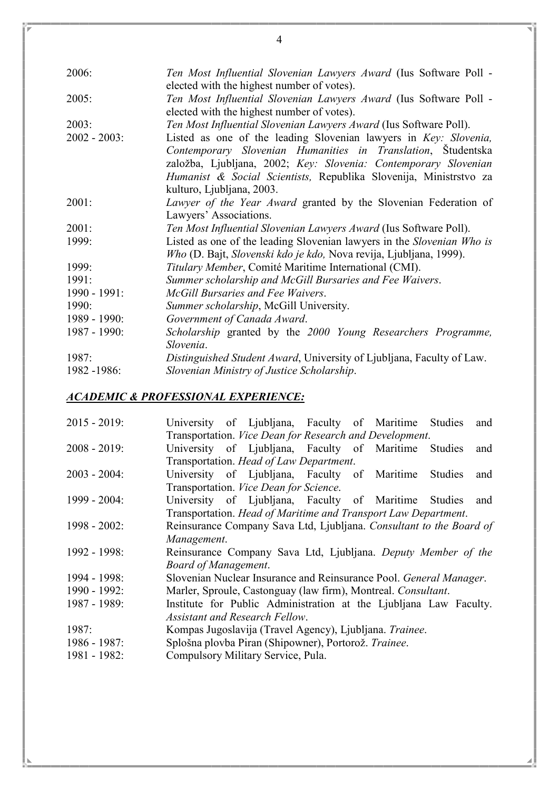| 2006:           | Ten Most Influential Slovenian Lawyers Award (Ius Software Poll -                 |  |  |  |  |  |
|-----------------|-----------------------------------------------------------------------------------|--|--|--|--|--|
|                 | elected with the highest number of votes).                                        |  |  |  |  |  |
| 2005:           | Ten Most Influential Slovenian Lawyers Award (Ius Software Poll -                 |  |  |  |  |  |
|                 | elected with the highest number of votes).                                        |  |  |  |  |  |
| 2003:           | Ten Most Influential Slovenian Lawyers Award (Ius Software Poll).                 |  |  |  |  |  |
| $2002 - 2003$ : | Listed as one of the leading Slovenian lawyers in Key: Slovenia,                  |  |  |  |  |  |
|                 | Contemporary Slovenian Humanities in Translation, Studentska                      |  |  |  |  |  |
|                 | založba, Ljubljana, 2002; Key: Slovenia: Contemporary Slovenian                   |  |  |  |  |  |
|                 | Humanist & Social Scientists, Republika Slovenija, Ministrstvo za                 |  |  |  |  |  |
|                 | kulturo, Ljubljana, 2003.                                                         |  |  |  |  |  |
| 2001:           | Lawyer of the Year Award granted by the Slovenian Federation of                   |  |  |  |  |  |
|                 | Lawyers' Associations.                                                            |  |  |  |  |  |
| 2001:           | Ten Most Influential Slovenian Lawyers Award (Ius Software Poll).                 |  |  |  |  |  |
| 1999:           | Listed as one of the leading Slovenian lawyers in the Slovenian Who is            |  |  |  |  |  |
|                 | <i>Who</i> (D. Bajt, <i>Slovenski kdo je kdo</i> , Nova revija, Ljubljana, 1999). |  |  |  |  |  |
| 1999:           | Titulary Member, Comité Maritime International (CMI).                             |  |  |  |  |  |
| 1991:           | Summer scholarship and McGill Bursaries and Fee Waivers.                          |  |  |  |  |  |
| 1990 - 1991:    | McGill Bursaries and Fee Waivers.                                                 |  |  |  |  |  |
| 1990:           | Summer scholarship, McGill University.                                            |  |  |  |  |  |
| 1989 - 1990:    | Government of Canada Award.                                                       |  |  |  |  |  |
| 1987 - 1990:    | Scholarship granted by the 2000 Young Researchers Programme,                      |  |  |  |  |  |
|                 | Slovenia.                                                                         |  |  |  |  |  |
| 1987:           | Distinguished Student Award, University of Ljubljana, Faculty of Law.             |  |  |  |  |  |
| 1982 -1986:     | Slovenian Ministry of Justice Scholarship.                                        |  |  |  |  |  |
|                 |                                                                                   |  |  |  |  |  |

### ACADEMIC & PROFESSIONAL EXPERIENCE:

| $2015 - 2019$ : |                             | University of Ljubljana, Faculty of Maritime Studies                       |  |                | and |
|-----------------|-----------------------------|----------------------------------------------------------------------------|--|----------------|-----|
|                 |                             | Transportation. Vice Dean for Research and Development.                    |  |                |     |
| $2008 - 2019$ : |                             | University of Ljubljana, Faculty of Maritime                               |  | <b>Studies</b> | and |
|                 |                             | Transportation. Head of Law Department.                                    |  |                |     |
| $2003 - 2004$ : |                             | University of Ljubljana, Faculty of Maritime                               |  | <b>Studies</b> | and |
|                 |                             | Transportation. Vice Dean for Science.                                     |  |                |     |
| 1999 - 2004:    |                             | University of Ljubljana, Faculty of Maritime Studies                       |  |                | and |
|                 |                             | Transportation. Head of Maritime and Transport Law Department.             |  |                |     |
| $1998 - 2002$ : |                             | Reinsurance Company Sava Ltd, Ljubljana. Consultant to the Board of        |  |                |     |
|                 | Management.                 |                                                                            |  |                |     |
| 1992 - 1998:    |                             | Reinsurance Company Sava Ltd, Ljubljana. Deputy Member of the              |  |                |     |
|                 | <b>Board of Management.</b> |                                                                            |  |                |     |
| 1994 - 1998:    |                             | Slovenian Nuclear Insurance and Reinsurance Pool. <i>General Manager</i> . |  |                |     |
| 1990 - 1992:    |                             | Marler, Sproule, Castonguay (law firm), Montreal. Consultant.              |  |                |     |
| 1987 - 1989:    |                             | Institute for Public Administration at the Ljubliana Law Faculty.          |  |                |     |
|                 |                             | <b>Assistant and Research Fellow.</b>                                      |  |                |     |
| 1987:           |                             | Kompas Jugoslavija (Travel Agency), Ljubljana. Trainee.                    |  |                |     |
| $1986 - 1987$ : |                             | Splošna plovba Piran (Shipowner), Portorož. Trainee.                       |  |                |     |
| 1981 - 1982:    |                             | Compulsory Military Service, Pula.                                         |  |                |     |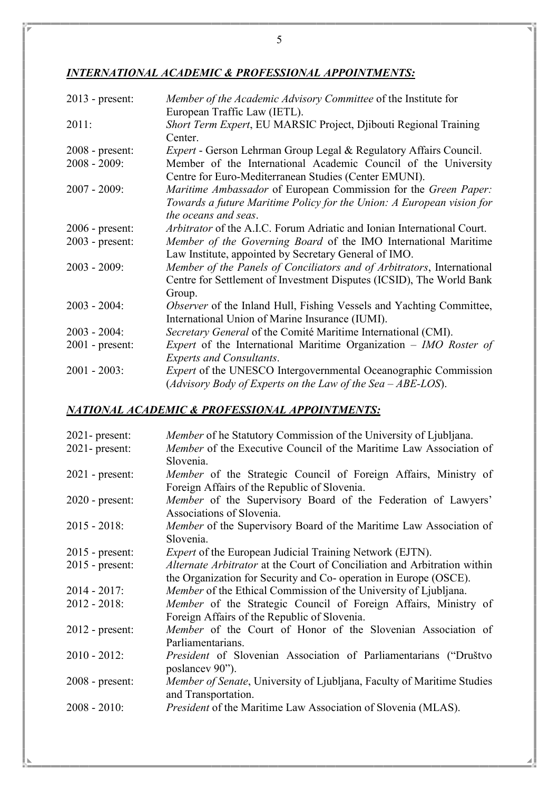### INTERNATIONAL ACADEMIC & PROFESSIONAL APPOINTMENTS:

| $2013$ - present: | Member of the Academic Advisory Committee of the Institute for<br>European Traffic Law (IETL).                           |
|-------------------|--------------------------------------------------------------------------------------------------------------------------|
| 2011:             | Short Term Expert, EU MARSIC Project, Djibouti Regional Training<br>Center.                                              |
| $2008$ - present: | Expert - Gerson Lehrman Group Legal & Regulatory Affairs Council.                                                        |
| $2008 - 2009$ :   | Member of the International Academic Council of the University<br>Centre for Euro-Mediterranean Studies (Center EMUNI).  |
| $2007 - 2009$ :   | <i>Maritime Ambassador</i> of European Commission for the <i>Green Paper</i> :                                           |
|                   | Towards a future Maritime Policy for the Union: A European vision for<br>the oceans and seas.                            |
|                   |                                                                                                                          |
| $2006$ - present: | Arbitrator of the A.I.C. Forum Adriatic and Ionian International Court.                                                  |
| $2003$ - present: | Member of the Governing Board of the IMO International Maritime<br>Law Institute, appointed by Secretary General of IMO. |
| $2003 - 2009$ :   | Member of the Panels of Conciliators and of Arbitrators, International                                                   |
|                   | Centre for Settlement of Investment Disputes (ICSID), The World Bank                                                     |
|                   | Group.                                                                                                                   |
| $2003 - 2004$ :   | <i>Observer</i> of the Inland Hull, Fishing Vessels and Yachting Committee,                                              |
|                   | International Union of Marine Insurance (IUMI).                                                                          |
| $2003 - 2004$ :   | Secretary General of the Comité Maritime International (CMI).                                                            |
| $2001$ - present: | <i>Expert</i> of the International Maritime Organization $-$ <i>IMO Roster of</i>                                        |
|                   | <b>Experts and Consultants.</b>                                                                                          |
| $2001 - 2003$ :   | <i>Expert</i> of the UNESCO Intergovernmental Oceanographic Commission                                                   |
|                   | (Advisory Body of Experts on the Law of the Sea $-$ ABE-LOS).                                                            |

### NATIONAL ACADEMIC & PROFESSIONAL APPOINTMENTS:

| $2021$ - present: | <i>Member</i> of he Statutory Commission of the University of Ljubljana.                                        |
|-------------------|-----------------------------------------------------------------------------------------------------------------|
| $2021$ - present: | Member of the Executive Council of the Maritime Law Association of                                              |
|                   | Slovenia.                                                                                                       |
| $2021$ - present: | Member of the Strategic Council of Foreign Affairs, Ministry of<br>Foreign Affairs of the Republic of Slovenia. |
|                   |                                                                                                                 |
| $2020$ - present: | Member of the Supervisory Board of the Federation of Lawyers'<br>Associations of Slovenia.                      |
| $2015 - 2018$ :   | Member of the Supervisory Board of the Maritime Law Association of                                              |
|                   | Slovenia.                                                                                                       |
| $2015$ - present: | <i>Expert</i> of the European Judicial Training Network (EJTN).                                                 |
| $2015$ - present: | Alternate Arbitrator at the Court of Conciliation and Arbitration within                                        |
|                   | the Organization for Security and Co- operation in Europe (OSCE).                                               |
| $2014 - 2017$ :   | Member of the Ethical Commission of the University of Ljubljana.                                                |
| $2012 - 2018$ :   | Member of the Strategic Council of Foreign Affairs, Ministry of                                                 |
|                   | Foreign Affairs of the Republic of Slovenia.                                                                    |
| $2012$ - present: | Member of the Court of Honor of the Slovenian Association of                                                    |
|                   | Parliamentarians.                                                                                               |
| $2010 - 2012$ :   | President of Slovenian Association of Parliamentarians ("Društvo                                                |
|                   | poslance 90").                                                                                                  |
| 2008 - present:   | Member of Senate, University of Ljubljana, Faculty of Maritime Studies                                          |
|                   | and Transportation.                                                                                             |
| $2008 - 2010$ :   | <i>President</i> of the Maritime Law Association of Slovenia (MLAS).                                            |
|                   |                                                                                                                 |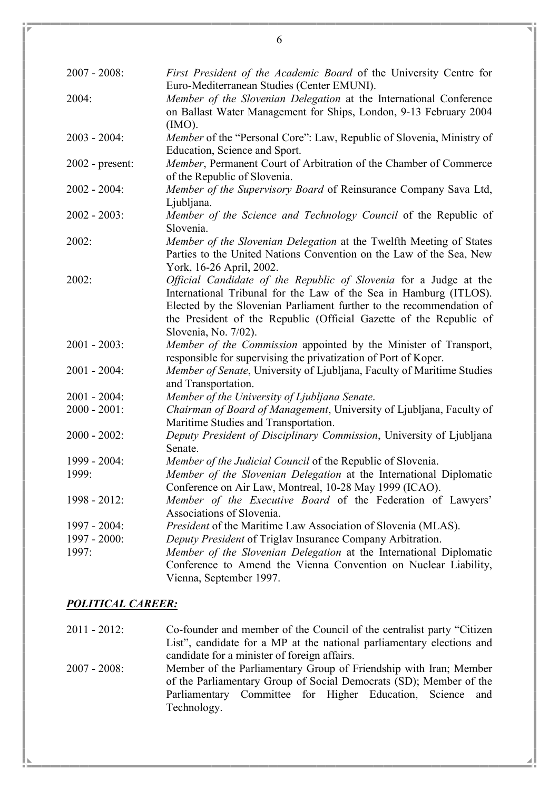| $2007 - 2008$ :   | First President of the Academic Board of the University Centre for<br>Euro-Mediterranean Studies (Center EMUNI). |
|-------------------|------------------------------------------------------------------------------------------------------------------|
| 2004:             | Member of the Slovenian Delegation at the International Conference                                               |
|                   | on Ballast Water Management for Ships, London, 9-13 February 2004                                                |
|                   | $(MO)$ .                                                                                                         |
| $2003 - 2004$ :   | Member of the "Personal Core": Law, Republic of Slovenia, Ministry of                                            |
|                   | Education, Science and Sport.                                                                                    |
| $2002$ - present: | Member, Permanent Court of Arbitration of the Chamber of Commerce                                                |
|                   | of the Republic of Slovenia.                                                                                     |
| $2002 - 2004$ :   | Member of the Supervisory Board of Reinsurance Company Sava Ltd,                                                 |
|                   | Ljubljana.                                                                                                       |
| $2002 - 2003$ :   | Member of the Science and Technology Council of the Republic of                                                  |
|                   | Slovenia.                                                                                                        |
| 2002:             | Member of the Slovenian Delegation at the Twelfth Meeting of States                                              |
|                   | Parties to the United Nations Convention on the Law of the Sea, New                                              |
|                   | York, 16-26 April, 2002.                                                                                         |
| 2002:             | Official Candidate of the Republic of Slovenia for a Judge at the                                                |
|                   | International Tribunal for the Law of the Sea in Hamburg (ITLOS).                                                |
|                   | Elected by the Slovenian Parliament further to the recommendation of                                             |
|                   | the President of the Republic (Official Gazette of the Republic of                                               |
|                   | Slovenia, No. 7/02).                                                                                             |
| $2001 - 2003$ :   | Member of the Commission appointed by the Minister of Transport,                                                 |
|                   | responsible for supervising the privatization of Port of Koper.                                                  |
| $2001 - 2004$ :   | Member of Senate, University of Ljubljana, Faculty of Maritime Studies                                           |
|                   | and Transportation.                                                                                              |
| $2001 - 2004$ :   | Member of the University of Ljubljana Senate.                                                                    |
| $2000 - 2001$ :   | Chairman of Board of Management, University of Ljubljana, Faculty of                                             |
|                   | Maritime Studies and Transportation.                                                                             |
| $2000 - 2002$ :   | Deputy President of Disciplinary Commission, University of Ljubljana                                             |
|                   | Senate.                                                                                                          |
| 1999 - 2004:      | Member of the Judicial Council of the Republic of Slovenia.                                                      |
| 1999:             | Member of the Slovenian Delegation at the International Diplomatic                                               |
|                   | Conference on Air Law, Montreal, 10-28 May 1999 (ICAO).                                                          |
| $1998 - 2012$ :   | Member of the Executive Board of the Federation of Lawyers'                                                      |
|                   | Associations of Slovenia.                                                                                        |
| $1997 - 2004$ :   | President of the Maritime Law Association of Slovenia (MLAS).                                                    |
| $1997 - 2000$ :   | Deputy President of Triglav Insurance Company Arbitration.                                                       |
| 1997:             | Member of the Slovenian Delegation at the International Diplomatic                                               |
|                   | Conference to Amend the Vienna Convention on Nuclear Liability,                                                  |
|                   | Vienna, September 1997.                                                                                          |

#### POLITICAL CAREER:

2011 - 2012: Co-founder and member of the Council of the centralist party "Citizen List", candidate for a MP at the national parliamentary elections and candidate for a minister of foreign affairs.

2007 - 2008: Member of the Parliamentary Group of Friendship with Iran; Member of the Parliamentary Group of Social Democrats (SD); Member of the Parliamentary Committee for Higher Education, Science and Technology.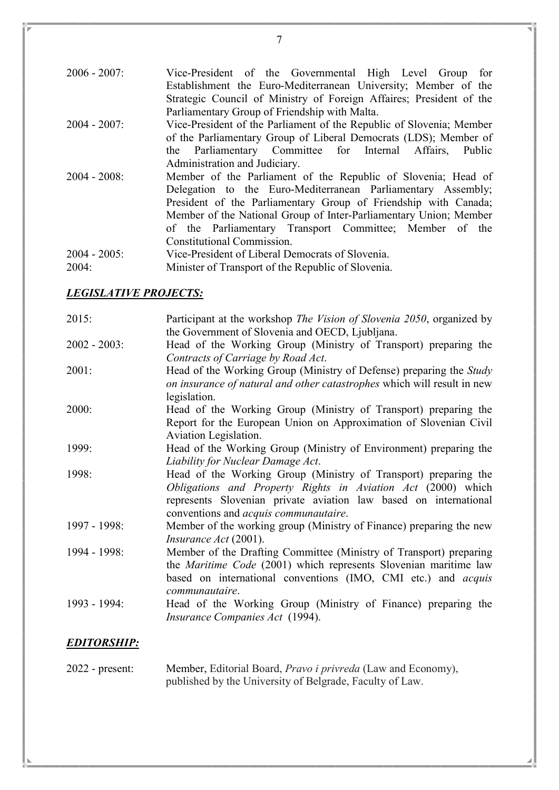| $2006 - 2007$ : | Vice-President of the Governmental High Level Group for              |
|-----------------|----------------------------------------------------------------------|
|                 | Establishment the Euro-Mediterranean University; Member of the       |
|                 | Strategic Council of Ministry of Foreign Affaires; President of the  |
|                 | Parliamentary Group of Friendship with Malta.                        |
| $2004 - 2007$ : | Vice-President of the Parliament of the Republic of Slovenia; Member |
|                 | of the Parliamentary Group of Liberal Democrats (LDS); Member of     |
|                 | the Parliamentary Committee for Internal Affairs,<br>Public          |
|                 | Administration and Judiciary.                                        |
| $2004 - 2008$ : | Member of the Parliament of the Republic of Slovenia; Head of        |
|                 | Delegation to the Euro-Mediterranean Parliamentary Assembly;         |
|                 | President of the Parliamentary Group of Friendship with Canada;      |
|                 | Member of the National Group of Inter-Parliamentary Union; Member    |
|                 | of the Parliamentary Transport Committee; Member of the              |
|                 | Constitutional Commission.                                           |
| $2004 - 2005$ : | Vice-President of Liberal Democrats of Slovenia.                     |
| 2004:           | Minister of Transport of the Republic of Slovenia.                   |

#### LEGISLATIVE PROJECTS:

| 2015:           | Participant at the workshop <i>The Vision of Slovenia 2050</i> , organized by |
|-----------------|-------------------------------------------------------------------------------|
|                 | the Government of Slovenia and OECD, Ljubljana.                               |
| $2002 - 2003$ : | Head of the Working Group (Ministry of Transport) preparing the               |
|                 | Contracts of Carriage by Road Act.                                            |
| 2001:           | Head of the Working Group (Ministry of Defense) preparing the Study           |
|                 | on insurance of natural and other catastrophes which will result in new       |
|                 | legislation.                                                                  |
| 2000:           | Head of the Working Group (Ministry of Transport) preparing the               |
|                 | Report for the European Union on Approximation of Slovenian Civil             |
|                 | Aviation Legislation.                                                         |
| 1999:           | Head of the Working Group (Ministry of Environment) preparing the             |
|                 | Liability for Nuclear Damage Act.                                             |
| 1998:           | Head of the Working Group (Ministry of Transport) preparing the               |
|                 | Obligations and Property Rights in Aviation Act (2000) which                  |
|                 | represents Slovenian private aviation law based on international              |
|                 | conventions and <i>acquis communautaire</i> .                                 |
| 1997 - 1998:    | Member of the working group (Ministry of Finance) preparing the new           |
|                 | <i>Insurance Act</i> (2001).                                                  |
| 1994 - 1998:    | Member of the Drafting Committee (Ministry of Transport) preparing            |
|                 | the <i>Maritime Code</i> (2001) which represents Slovenian maritime law       |
|                 | based on international conventions (IMO, CMI etc.) and <i>acquis</i>          |
|                 | communautaire.                                                                |
| 1993 - 1994:    | Head of the Working Group (Ministry of Finance) preparing the                 |
|                 | Insurance Companies Act (1994).                                               |
|                 |                                                                               |

## EDITORSHIP:

| $2022$ - present: | Member, Editorial Board, Pravo i privreda (Law and Economy), |
|-------------------|--------------------------------------------------------------|
|                   | published by the University of Belgrade, Faculty of Law.     |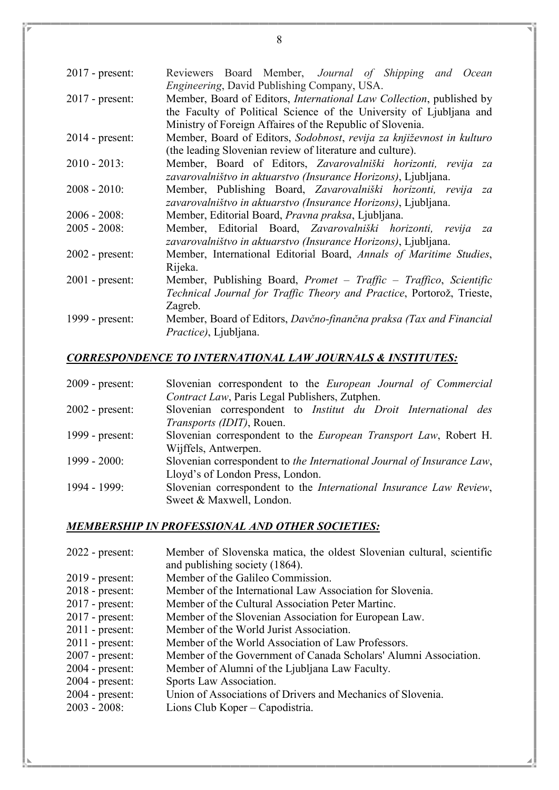| $2017$ - present: | Reviewers Board Member, Journal of Shipping and Ocean<br>Engineering, David Publishing Company, USA.                                                                                                             |
|-------------------|------------------------------------------------------------------------------------------------------------------------------------------------------------------------------------------------------------------|
| $2017$ - present: | Member, Board of Editors, <i>International Law Collection</i> , published by<br>the Faculty of Political Science of the University of Ljubliana and<br>Ministry of Foreign Affaires of the Republic of Slovenia. |
| $2014$ - present: | Member, Board of Editors, Sodobnost, revija za književnost in kulturo<br>(the leading Slovenian review of literature and culture).                                                                               |
| $2010 - 2013$ :   | Member, Board of Editors, Zavarovalniški horizonti, revija za<br>zavarovalništvo in aktuarstvo (Insurance Horizons), Ljubljana.                                                                                  |
| $2008 - 2010$ :   | Member, Publishing Board, Zavarovalniški horizonti, revija za<br>zavarovalništvo in aktuarstvo (Insurance Horizons), Ljubljana.                                                                                  |
| $2006 - 2008$     | Member, Editorial Board, Pravna praksa, Ljubljana.                                                                                                                                                               |
| $2005 - 2008$ :   | Member, Editorial Board, Zavarovalniški horizonti, revija za<br>zavarovalništvo in aktuarstvo (Insurance Horizons), Ljubljana.                                                                                   |
| $2002$ - present: | Member, International Editorial Board, Annals of Maritime Studies,<br>Rijeka.                                                                                                                                    |
| $2001$ - present: | Member, Publishing Board, <i>Promet</i> $-$ <i>Traffic</i> $-$ <i>Traffico, Scientific</i><br>Technical Journal for Traffic Theory and Practice, Portorož, Trieste,<br>Zagreb.                                   |
| 1999 - present:   | Member, Board of Editors, Davčno-finančna praksa (Tax and Financial<br><i>Practice</i> ), Ljubljana.                                                                                                             |

### CORRESPONDENCE TO INTERNATIONAL LAW JOURNALS & INSTITUTES:

| $2009$ - present: | Slovenian correspondent to the <i>European Journal of Commercial</i>     |
|-------------------|--------------------------------------------------------------------------|
|                   | Contract Law, Paris Legal Publishers, Zutphen.                           |
| $2002$ - present: | Slovenian correspondent to <i>Institut du Droit International des</i>    |
|                   | <i>Transports (IDIT)</i> , Rouen.                                        |
| 1999 - present:   | Slovenian correspondent to the <i>European Transport Law</i> , Robert H. |
|                   | Wijffels, Antwerpen.                                                     |
| $1999 - 2000$ :   | Slovenian correspondent to the International Journal of Insurance Law,   |
|                   | Lloyd's of London Press, London.                                         |
| 1994 - 1999:      | Slovenian correspondent to the International Insurance Law Review,       |
|                   | Sweet & Maxwell, London.                                                 |

## MEMBERSHIP IN PROFESSIONAL AND OTHER SOCIETIES:

| $2022$ - present: | Member of Slovenska matica, the oldest Slovenian cultural, scientific |
|-------------------|-----------------------------------------------------------------------|
|                   | and publishing society (1864).                                        |
| $2019$ - present: | Member of the Galileo Commission.                                     |
| $2018$ - present: | Member of the International Law Association for Slovenia.             |
| $2017$ - present: | Member of the Cultural Association Peter Martinc.                     |
| $2017$ - present: | Member of the Slovenian Association for European Law.                 |
| $2011$ - present: | Member of the World Jurist Association.                               |
| $2011$ - present: | Member of the World Association of Law Professors.                    |
| $2007$ - present: | Member of the Government of Canada Scholars' Alumni Association.      |
| $2004$ - present: | Member of Alumni of the Ljubljana Law Faculty.                        |
| $2004$ - present: | Sports Law Association.                                               |
| $2004$ - present: | Union of Associations of Drivers and Mechanics of Slovenia.           |
| $2003 - 2008$ :   | Lions Club Koper – Capodistria.                                       |
|                   |                                                                       |